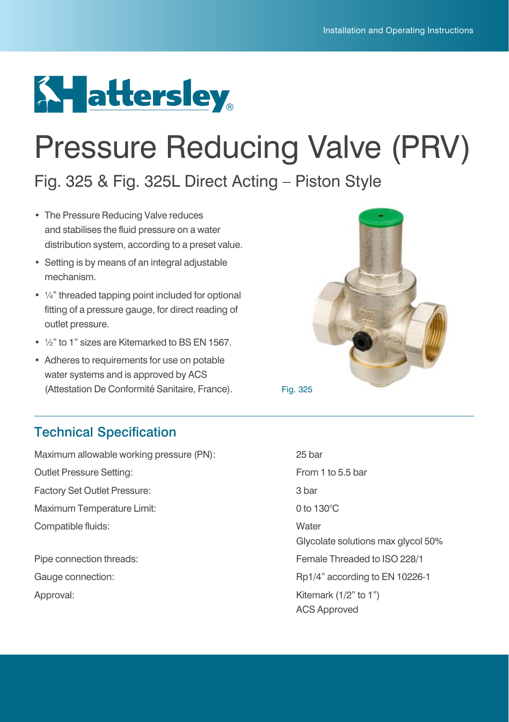

# Pressure Reducing Valve (PRV)

Fig. 325 & Fig. 325L Direct Acting – Piston Style

- The Pressure Reducing Valve reduces and stabilises the fluid pressure on a water distribution system, according to a preset value.
- Setting is by means of an integral adjustable mechanism.
- ¼" threaded tapping point included for optional fitting of a pressure gauge, for direct reading of outlet pressure.
- ½" to 1" sizes are Kitemarked to BS EN 1567.
- Adheres to requirements for use on potable water systems and is approved by ACS (Attestation De Conformité Sanitaire, France). Fig. 325



## Technical Specification

Maximum allowable working pressure (PN): 25 bar Outlet Pressure Setting: The Superior of the Superior Setting: From 1 to 5.5 bar Factory Set Outlet Pressure: 3 bar Maximum Temperature Limit: 0 to 130°C Compatible fluids: Water

Approval: Kitemark (1/2" to 1")

 Glycolate solutions max glycol 50% Pipe connection threads: Female Threaded to ISO 228/1 Gauge connection:  $Rp1/4"$  according to EN 10226-1 ACS Approved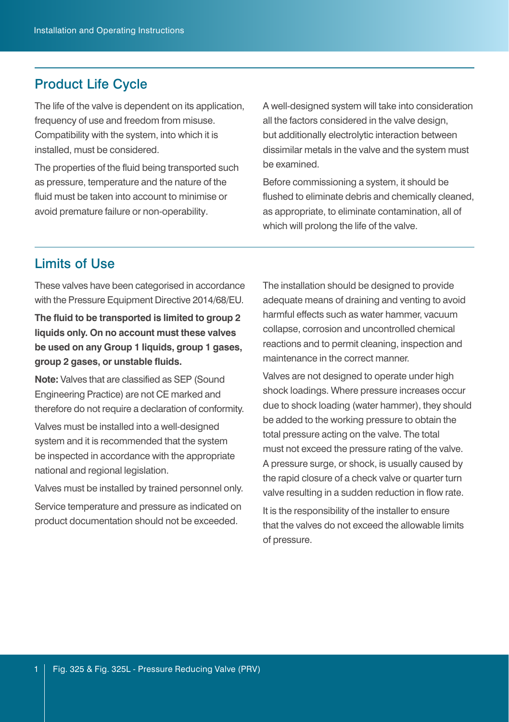#### Product Life Cycle

The life of the valve is dependent on its application, frequency of use and freedom from misuse. Compatibility with the system, into which it is installed, must be considered.

The properties of the fluid being transported such as pressure, temperature and the nature of the fluid must be taken into account to minimise or avoid premature failure or non-operability.

A well-designed system will take into consideration all the factors considered in the valve design. but additionally electrolytic interaction between dissimilar metals in the valve and the system must be examined.

Before commissioning a system, it should be flushed to eliminate debris and chemically cleaned. as appropriate, to eliminate contamination, all of which will prolong the life of the valve.

### Limits of Use

These valves have been categorised in accordance with the Pressure Equipment Directive 2014/68/EU.

**The fluid to be transported is limited to group 2 liquids only. On no account must these valves be used on any Group 1 liquids, group 1 gases, group 2 gases, or unstable fluids.** 

**Note:** Valves that are classified as SEP (Sound Engineering Practice) are not CE marked and therefore do not require a declaration of conformity.

Valves must be installed into a well-designed system and it is recommended that the system be inspected in accordance with the appropriate national and regional legislation.

Valves must be installed by trained personnel only.

Service temperature and pressure as indicated on product documentation should not be exceeded.

The installation should be designed to provide adequate means of draining and venting to avoid harmful effects such as water hammer, vacuum collapse, corrosion and uncontrolled chemical reactions and to permit cleaning, inspection and maintenance in the correct manner.

Valves are not designed to operate under high shock loadings. Where pressure increases occur due to shock loading (water hammer), they should be added to the working pressure to obtain the total pressure acting on the valve. The total must not exceed the pressure rating of the valve. A pressure surge, or shock, is usually caused by the rapid closure of a check valve or quarter turn valve resulting in a sudden reduction in flow rate. It is the responsibility of the installer to ensure that the valves do not exceed the allowable limits of pressure.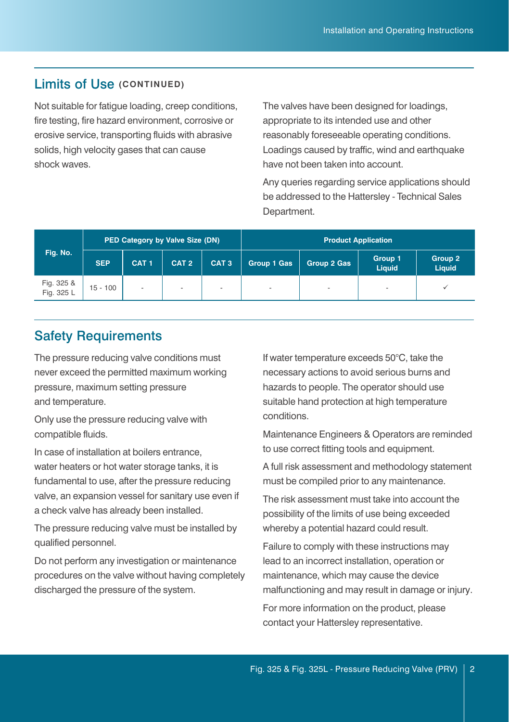#### Limits of Use **(CONTINUED)**

Not suitable for fatigue loading, creep conditions, fire testing, fire hazard environment, corrosive or erosive service, transporting fluids with abrasive solids, high velocity gases that can cause shock waves.

The valves have been designed for loadings, appropriate to its intended use and other reasonably foreseeable operating conditions. Loadings caused by traffic, wind and earthquake have not been taken into account.

Any queries regarding service applications should be addressed to the Hattersley - Technical Sales Department.

| Fig. No.                 | PED Category by Valve Size (DN) |                          |                  |                  | <b>Product Application</b> |             |                   |                   |
|--------------------------|---------------------------------|--------------------------|------------------|------------------|----------------------------|-------------|-------------------|-------------------|
|                          | <b>SEP</b>                      | CAT <sub>1</sub>         | CAT <sub>2</sub> | CAT <sub>3</sub> | Group 1 Gas                | Group 2 Gas | Group 1<br>Liquid | Group 2<br>Liquid |
| Fig. 325 &<br>Fig. 325 L | $15 - 100$                      | $\overline{\phantom{a}}$ | ۰                |                  | $\overline{\phantom{a}}$   | ۰           |                   |                   |

### Safety Requirements

The pressure reducing valve conditions must never exceed the permitted maximum working pressure, maximum setting pressure and temperature.

Only use the pressure reducing valve with compatible fluids.

In case of installation at boilers entrance, water heaters or hot water storage tanks, it is fundamental to use, after the pressure reducing valve, an expansion vessel for sanitary use even if a check valve has already been installed.

The pressure reducing valve must be installed by qualified personnel.

Do not perform any investigation or maintenance procedures on the valve without having completely discharged the pressure of the system.

If water temperature exceeds 50°C, take the necessary actions to avoid serious burns and hazards to people. The operator should use suitable hand protection at high temperature conditions.

Maintenance Engineers & Operators are reminded to use correct fitting tools and equipment.

A full risk assessment and methodology statement must be compiled prior to any maintenance.

The risk assessment must take into account the possibility of the limits of use being exceeded whereby a potential hazard could result.

Failure to comply with these instructions may lead to an incorrect installation, operation or maintenance, which may cause the device malfunctioning and may result in damage or injury. For more information on the product, please contact your Hattersley representative.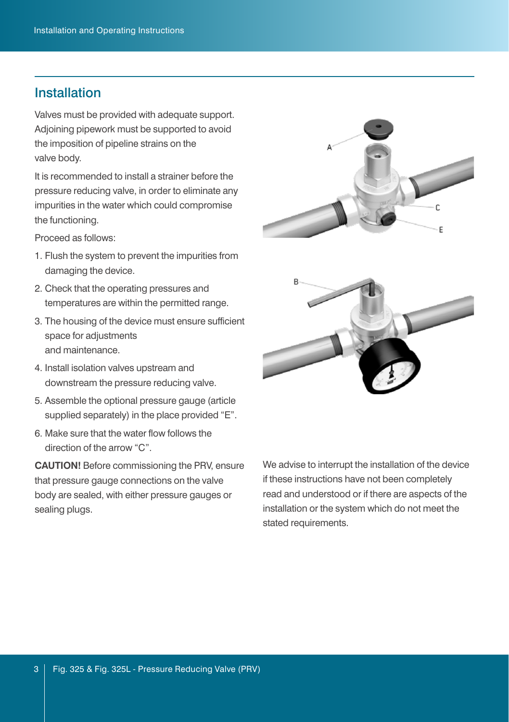### Installation

Valves must be provided with adequate support. Adjoining pipework must be supported to avoid the imposition of pipeline strains on the valve body.

It is recommended to install a strainer before the pressure reducing valve, in order to eliminate any impurities in the water which could compromise the functioning.

Proceed as follows:

- 1. Flush the system to prevent the impurities from damaging the device.
- 2. Check that the operating pressures and temperatures are within the permitted range.
- 3. The housing of the device must ensure sufficient space for adjustments and maintenance.
- 4. Install isolation valves upstream and downstream the pressure reducing valve.
- 5. Assemble the optional pressure gauge (article supplied separately) in the place provided "E".
- 6. Make sure that the water flow follows the direction of the arrow "C".

**CAUTION!** Before commissioning the PRV, ensure that pressure gauge connections on the valve body are sealed, with either pressure gauges or sealing plugs.



We advise to interrupt the installation of the device if these instructions have not been completely read and understood or if there are aspects of the installation or the system which do not meet the stated requirements.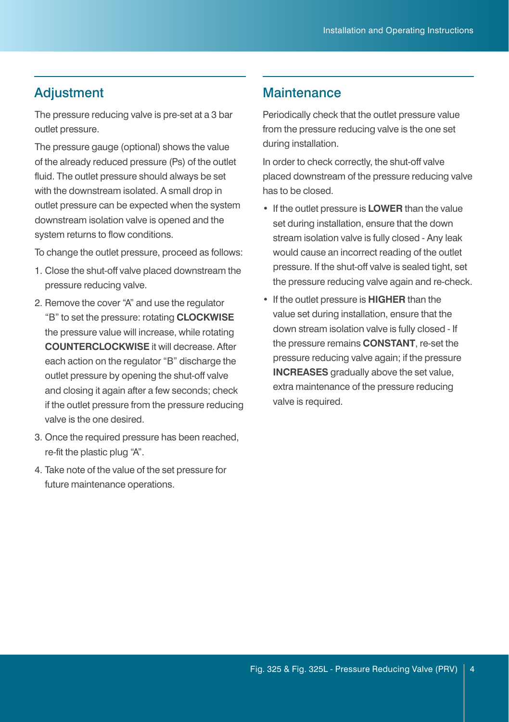The pressure reducing valve is pre-set at a 3 bar outlet pressure.

The pressure gauge (optional) shows the value of the already reduced pressure (Ps) of the outlet fluid. The outlet pressure should always be set with the downstream isolated. A small drop in outlet pressure can be expected when the system downstream isolation valve is opened and the system returns to flow conditions.

To change the outlet pressure, proceed as follows:

- 1. Close the shut-off valve placed downstream the pressure reducing valve.
- 2. Remove the cover "A" and use the regulator "B" to set the pressure: rotating **CLOCKWISE** the pressure value will increase, while rotating **COUNTERCLOCKWISE** it will decrease. After each action on the regulator "B" discharge the outlet pressure by opening the shut-off valve and closing it again after a few seconds; check if the outlet pressure from the pressure reducing valve is the one desired.
- 3. Once the required pressure has been reached, re-fit the plastic plug "A".
- 4. Take note of the value of the set pressure for future maintenance operations.

#### Adjustment Maintenance

Periodically check that the outlet pressure value from the pressure reducing valve is the one set during installation.

In order to check correctly, the shut-off valve placed downstream of the pressure reducing valve has to be closed.

- If the outlet pressure is **LOWER** than the value set during installation, ensure that the down stream isolation valve is fully closed - Any leak would cause an incorrect reading of the outlet pressure. If the shut-off valve is sealed tight, set the pressure reducing valve again and re-check.
- If the outlet pressure is **HIGHER** than the value set during installation, ensure that the down stream isolation valve is fully closed - If the pressure remains **CONSTANT**, re-set the pressure reducing valve again; if the pressure **INCREASES** gradually above the set value, extra maintenance of the pressure reducing valve is required.